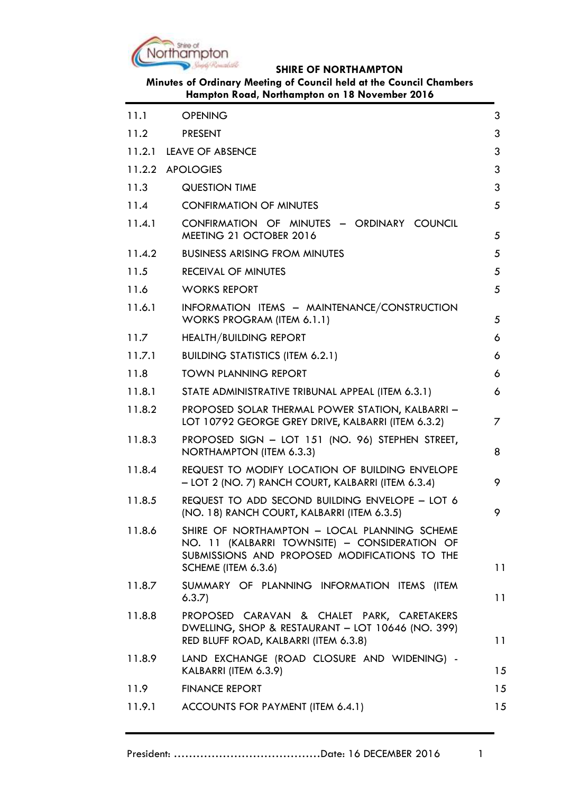

#### **Minutes of Ordinary Meeting of Council held at the Council Chambers Hampton Road, Northampton on 18 November 2016**

| 11.1   | <b>OPENING</b>                                                                                                                                                        | 3  |
|--------|-----------------------------------------------------------------------------------------------------------------------------------------------------------------------|----|
| 11.2   | <b>PRESENT</b>                                                                                                                                                        | 3  |
|        | 11.2.1 LEAVE OF ABSENCE                                                                                                                                               | 3  |
|        | 11.2.2 APOLOGIES                                                                                                                                                      | 3  |
| 11.3   | <b>QUESTION TIME</b>                                                                                                                                                  | 3  |
| 11.4   | <b>CONFIRMATION OF MINUTES</b>                                                                                                                                        | 5  |
| 11.4.1 | CONFIRMATION OF MINUTES - ORDINARY COUNCIL<br>MEETING 21 OCTOBER 2016                                                                                                 | 5  |
| 11.4.2 | <b>BUSINESS ARISING FROM MINUTES</b>                                                                                                                                  | 5  |
| 11.5   | <b>RECEIVAL OF MINUTES</b>                                                                                                                                            | 5  |
| 11.6   | <b>WORKS REPORT</b>                                                                                                                                                   | 5  |
| 11.6.1 | INFORMATION ITEMS - MAINTENANCE/CONSTRUCTION<br>WORKS PROGRAM (ITEM 6.1.1)                                                                                            | 5  |
| 11.7   | <b>HEALTH/BUILDING REPORT</b>                                                                                                                                         | 6  |
| 11.7.1 | <b>BUILDING STATISTICS (ITEM 6.2.1)</b>                                                                                                                               | 6  |
| 11.8   | <b>TOWN PLANNING REPORT</b>                                                                                                                                           | 6  |
| 11.8.1 | STATE ADMINISTRATIVE TRIBUNAL APPEAL (ITEM 6.3.1)                                                                                                                     | 6  |
| 11.8.2 | PROPOSED SOLAR THERMAL POWER STATION, KALBARRI -<br>LOT 10792 GEORGE GREY DRIVE, KALBARRI (ITEM 6.3.2)                                                                | 7  |
| 11.8.3 | PROPOSED SIGN - LOT 151 (NO. 96) STEPHEN STREET,<br>NORTHAMPTON (ITEM 6.3.3)                                                                                          | 8  |
| 11.8.4 | REQUEST TO MODIFY LOCATION OF BUILDING ENVELOPE<br>- LOT 2 (NO. 7) RANCH COURT, KALBARRI (ITEM 6.3.4)                                                                 | 9  |
| 11.8.5 | REQUEST TO ADD SECOND BUILDING ENVELOPE - LOT 6<br>(NO. 18) RANCH COURT, KALBARRI (ITEM 6.3.5)                                                                        | 9  |
| 11.8.6 | SHIRE OF NORTHAMPTON - LOCAL PLANNING SCHEME<br>NO. 11 (KALBARRI TOWNSITE) - CONSIDERATION OF<br>SUBMISSIONS AND PROPOSED MODIFICATIONS TO THE<br>SCHEME (ITEM 6.3.6) | 11 |
| 11.8.7 | SUMMARY OF PLANNING INFORMATION ITEMS (ITEM<br>6.3.7                                                                                                                  | 11 |
| 11.8.8 | PROPOSED CARAVAN & CHALET PARK, CARETAKERS<br>DWELLING, SHOP & RESTAURANT - LOT 10646 (NO. 399)<br>RED BLUFF ROAD, KALBARRI (ITEM 6.3.8)                              | 11 |
| 11.8.9 | LAND EXCHANGE (ROAD CLOSURE AND WIDENING) -<br>KALBARRI (ITEM 6.3.9)                                                                                                  | 15 |
| 11.9   | <b>FINANCE REPORT</b>                                                                                                                                                 | 15 |
| 11.9.1 | ACCOUNTS FOR PAYMENT (ITEM 6.4.1)                                                                                                                                     | 15 |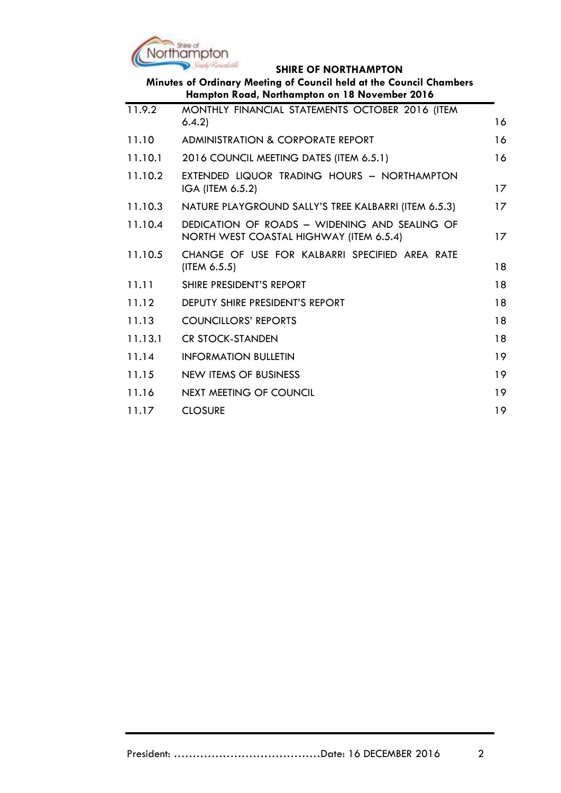

| Minutes of Ordinary Meeting of Council held at the Council Chambers<br>Hampton Road, Northampton on 18 November 2016 |                                                                                          |    |  |
|----------------------------------------------------------------------------------------------------------------------|------------------------------------------------------------------------------------------|----|--|
| 11.9.2                                                                                                               | MONTHLY FINANCIAL STATEMENTS OCTOBER 2016 (ITEM<br>6.4.2)                                | 16 |  |
| 11.10                                                                                                                | ADMINISTRATION & CORPORATE REPORT                                                        | 16 |  |
| 11.10.1                                                                                                              | 2016 COUNCIL MEETING DATES (ITEM 6.5.1)                                                  | 16 |  |
| 11.10.2                                                                                                              | EXTENDED LIQUOR TRADING HOURS - NORTHAMPTON<br>IGA (ITEM 6.5.2)                          | 17 |  |
| 11.10.3                                                                                                              | NATURE PLAYGROUND SALLY'S TREE KALBARRI (ITEM 6.5.3)                                     | 17 |  |
| 11.10.4                                                                                                              | DEDICATION OF ROADS - WIDENING AND SEALING OF<br>NORTH WEST COASTAL HIGHWAY (ITEM 6.5.4) | 17 |  |
| 11.10.5                                                                                                              | CHANGE OF USE FOR KALBARRI SPECIFIED AREA RATE<br>(ITERA 6.5.5)                          | 18 |  |
| 11.11                                                                                                                | SHIRE PRESIDENT'S REPORT                                                                 | 18 |  |
| 11.12                                                                                                                | <b>DEPUTY SHIRE PRESIDENT'S REPORT</b>                                                   | 18 |  |
| 11.13                                                                                                                | <b>COUNCILLORS' REPORTS</b>                                                              | 18 |  |
| 11.13.1                                                                                                              | <b>CR STOCK-STANDEN</b>                                                                  | 18 |  |
| 11.14                                                                                                                | <b>INFORMATION BULLETIN</b>                                                              | 19 |  |
| 11.15                                                                                                                | <b>NEW ITEMS OF BUSINESS</b>                                                             | 19 |  |
| 11.16                                                                                                                | <b>NEXT MEETING OF COUNCIL</b>                                                           | 19 |  |
| 11.17                                                                                                                | <b>CLOSURE</b>                                                                           | 19 |  |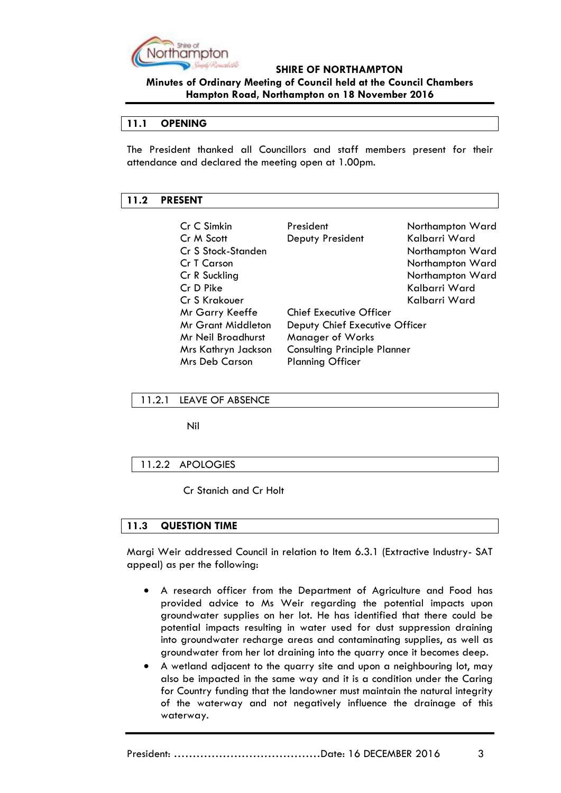

**Minutes of Ordinary Meeting of Council held at the Council Chambers Hampton Road, Northampton on 18 November 2016**

#### <span id="page-2-0"></span>**11.1 OPENING**

The President thanked all Councillors and staff members present for their attendance and declared the meeting open at 1.00pm.

#### <span id="page-2-1"></span>**11.2 PRESENT**

| Cr C Simkin               | President                           | Northampton Ward |
|---------------------------|-------------------------------------|------------------|
| Cr M Scott                | Deputy President                    | Kalbarri Ward    |
| Cr S Stock-Standen        |                                     | Northampton Ward |
| Cr T Carson               |                                     | Northampton Ward |
| Cr R Suckling             |                                     | Northampton Ward |
| Cr D Pike                 |                                     | Kalbarri Ward    |
| Cr S Krakouer             |                                     | Kalbarri Ward    |
| Mr Garry Keeffe           | <b>Chief Executive Officer</b>      |                  |
| <b>Mr Grant Middleton</b> | Deputy Chief Executive Officer      |                  |
| Mr Neil Broadhurst        | <b>Manager of Works</b>             |                  |
| Mrs Kathryn Jackson       | <b>Consulting Principle Planner</b> |                  |
| <b>Mrs Deb Carson</b>     | <b>Planning Officer</b>             |                  |

#### <span id="page-2-2"></span>11.2.1 LEAVE OF ABSENCE

Nil

#### <span id="page-2-3"></span>11.2.2 APOLOGIES

Cr Stanich and Cr Holt

#### <span id="page-2-4"></span>**11.3 QUESTION TIME**

Margi Weir addressed Council in relation to Item 6.3.1 (Extractive Industry- SAT appeal) as per the following:

- A research officer from the Department of Agriculture and Food has provided advice to Ms Weir regarding the potential impacts upon groundwater supplies on her lot. He has identified that there could be potential impacts resulting in water used for dust suppression draining into groundwater recharge areas and contaminating supplies, as well as groundwater from her lot draining into the quarry once it becomes deep.
- A wetland adjacent to the quarry site and upon a neighbouring lot, may also be impacted in the same way and it is a condition under the Caring for Country funding that the landowner must maintain the natural integrity of the waterway and not negatively influence the drainage of this waterway.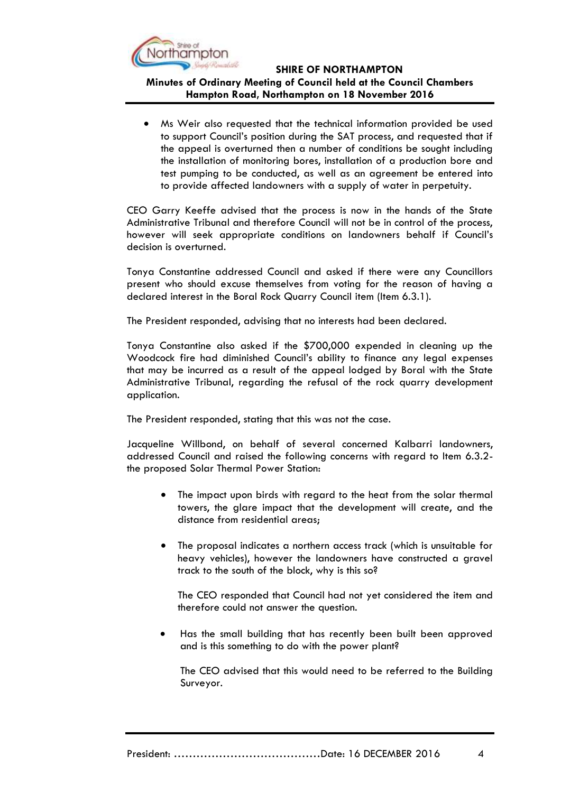

#### **SHIRE OF NORTHAMPTON Minutes of Ordinary Meeting of Council held at the Council Chambers Hampton Road, Northampton on 18 November 2016**

 Ms Weir also requested that the technical information provided be used to support Council's position during the SAT process, and requested that if the appeal is overturned then a number of conditions be sought including the installation of monitoring bores, installation of a production bore and test pumping to be conducted, as well as an agreement be entered into to provide affected landowners with a supply of water in perpetuity.

CEO Garry Keeffe advised that the process is now in the hands of the State Administrative Tribunal and therefore Council will not be in control of the process, however will seek appropriate conditions on landowners behalf if Council's decision is overturned.

Tonya Constantine addressed Council and asked if there were any Councillors present who should excuse themselves from voting for the reason of having a declared interest in the Boral Rock Quarry Council item (Item 6.3.1).

The President responded, advising that no interests had been declared.

Tonya Constantine also asked if the \$700,000 expended in cleaning up the Woodcock fire had diminished Council's ability to finance any legal expenses that may be incurred as a result of the appeal lodged by Boral with the State Administrative Tribunal, regarding the refusal of the rock quarry development application.

The President responded, stating that this was not the case.

Jacqueline Willbond, on behalf of several concerned Kalbarri landowners, addressed Council and raised the following concerns with regard to Item 6.3.2 the proposed Solar Thermal Power Station:

- The impact upon birds with regard to the heat from the solar thermal towers, the glare impact that the development will create, and the distance from residential areas;
- The proposal indicates a northern access track (which is unsuitable for heavy vehicles), however the landowners have constructed a gravel track to the south of the block, why is this so?

The CEO responded that Council had not yet considered the item and therefore could not answer the question.

 Has the small building that has recently been built been approved and is this something to do with the power plant?

The CEO advised that this would need to be referred to the Building Surveyor.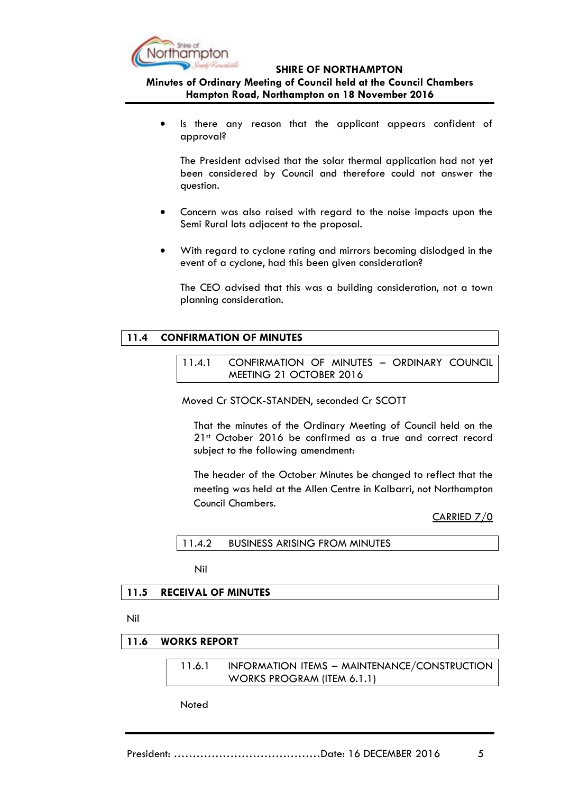

#### **Minutes of Ordinary Meeting of Council held at the Council Chambers Hampton Road, Northampton on 18 November 2016**

 Is there any reason that the applicant appears confident of approval?

The President advised that the solar thermal application had not yet been considered by Council and therefore could not answer the question.

- Concern was also raised with regard to the noise impacts upon the Semi Rural lots adjacent to the proposal.
- With regard to cyclone rating and mirrors becoming dislodged in the event of a cyclone, had this been given consideration?

The CEO advised that this was a building consideration, not a town planning consideration.

#### <span id="page-4-1"></span><span id="page-4-0"></span>**11.4 CONFIRMATION OF MINUTES**

11.4.1 CONFIRMATION OF MINUTES – ORDINARY COUNCIL MEETING 21 OCTOBER 2016

Moved Cr STOCK-STANDEN, seconded Cr SCOTT

That the minutes of the Ordinary Meeting of Council held on the 21st October 2016 be confirmed as a true and correct record subject to the following amendment:

The header of the October Minutes be changed to reflect that the meeting was held at the Allen Centre in Kalbarri, not Northampton Council Chambers.

CARRIED 7/0

11.4.2 BUSINESS ARISING FROM MINUTES

Nil

#### <span id="page-4-3"></span><span id="page-4-2"></span>**11.5 RECEIVAL OF MINUTES**

Nil

#### <span id="page-4-5"></span><span id="page-4-4"></span>**11.6 WORKS REPORT**

| 11.6.1 | INFORMATION ITEMS - MAINTENANCE/CONSTRUCTION |  |
|--------|----------------------------------------------|--|
|        | WORKS PROGRAM (ITEM 6.1.1)                   |  |

Noted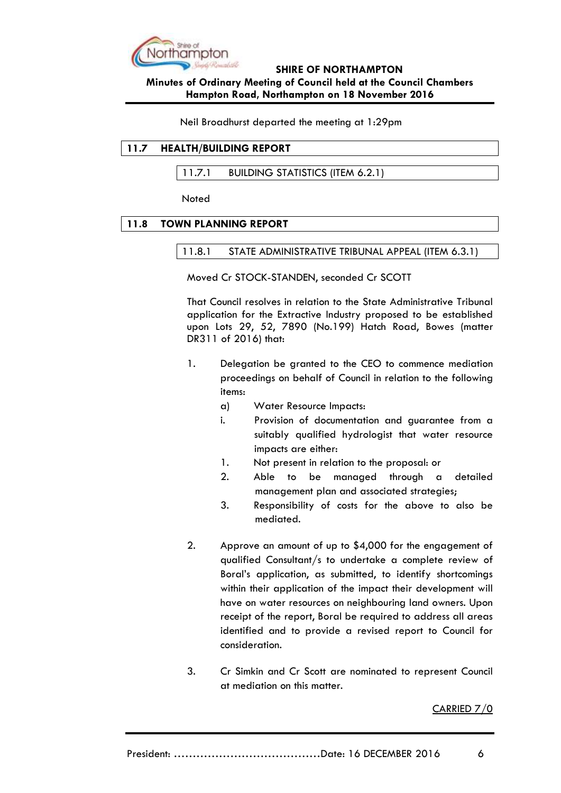

#### **Minutes of Ordinary Meeting of Council held at the Council Chambers Hampton Road, Northampton on 18 November 2016**

Neil Broadhurst departed the meeting at 1:29pm

#### <span id="page-5-1"></span><span id="page-5-0"></span>**11.7 HEALTH/BUILDING REPORT**

11.7.1 BUILDING STATISTICS (ITEM 6.2.1)

**Noted** 

#### <span id="page-5-3"></span><span id="page-5-2"></span>**11.8 TOWN PLANNING REPORT**

11.8.1 STATE ADMINISTRATIVE TRIBUNAL APPEAL (ITEM 6.3.1)

Moved Cr STOCK-STANDEN, seconded Cr SCOTT

That Council resolves in relation to the State Administrative Tribunal application for the Extractive Industry proposed to be established upon Lots 29, 52, 7890 (No.199) Hatch Road, Bowes (matter DR311 of 2016) that:

- 1. Delegation be granted to the CEO to commence mediation proceedings on behalf of Council in relation to the following items:
	- a) Water Resource Impacts:
	- i. Provision of documentation and guarantee from a suitably qualified hydrologist that water resource impacts are either:
	- 1. Not present in relation to the proposal: or
	- 2. Able to be managed through a detailed management plan and associated strategies;
	- 3. Responsibility of costs for the above to also be mediated.
- 2. Approve an amount of up to \$4,000 for the engagement of qualified Consultant/s to undertake a complete review of Boral's application, as submitted, to identify shortcomings within their application of the impact their development will have on water resources on neighbouring land owners. Upon receipt of the report, Boral be required to address all areas identified and to provide a revised report to Council for consideration.
- 3. Cr Simkin and Cr Scott are nominated to represent Council at mediation on this matter.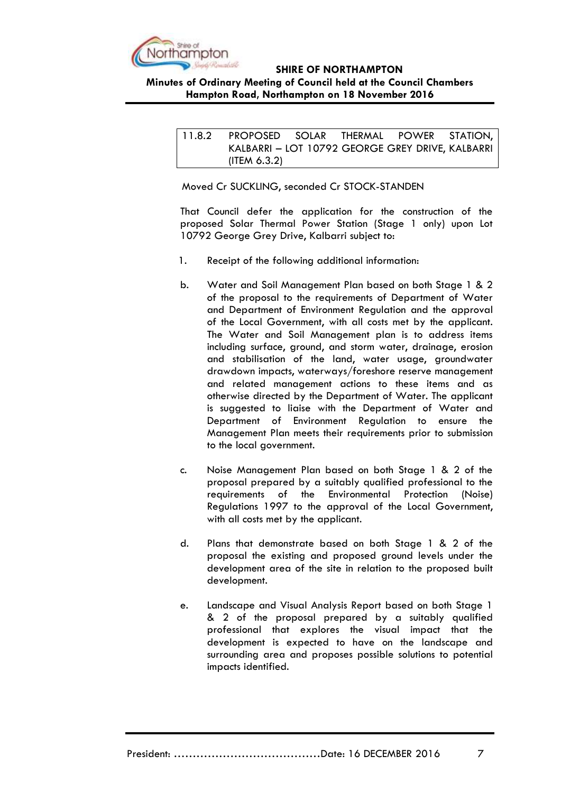

#### <span id="page-6-0"></span>**Minutes of Ordinary Meeting of Council held at the Council Chambers Hampton Road, Northampton on 18 November 2016**

11.8.2 PROPOSED SOLAR THERMAL POWER STATION, KALBARRI – LOT 10792 GEORGE GREY DRIVE, KALBARRI (ITEM 6.3.2)

Moved Cr SUCKLING, seconded Cr STOCK-STANDEN

That Council defer the application for the construction of the proposed Solar Thermal Power Station (Stage 1 only) upon Lot 10792 George Grey Drive, Kalbarri subject to:

- 1. Receipt of the following additional information:
- b. Water and Soil Management Plan based on both Stage 1 & 2 of the proposal to the requirements of Department of Water and Department of Environment Regulation and the approval of the Local Government, with all costs met by the applicant. The Water and Soil Management plan is to address items including surface, ground, and storm water, drainage, erosion and stabilisation of the land, water usage, groundwater drawdown impacts, waterways/foreshore reserve management and related management actions to these items and as otherwise directed by the Department of Water. The applicant is suggested to liaise with the Department of Water and Department of Environment Regulation to ensure the Management Plan meets their requirements prior to submission to the local government.
- c. Noise Management Plan based on both Stage 1 & 2 of the proposal prepared by a suitably qualified professional to the requirements of the Environmental Protection (Noise) Regulations 1997 to the approval of the Local Government, with all costs met by the applicant.
- d. Plans that demonstrate based on both Stage 1 & 2 of the proposal the existing and proposed ground levels under the development area of the site in relation to the proposed built development.
- e. Landscape and Visual Analysis Report based on both Stage 1 & 2 of the proposal prepared by a suitably qualified professional that explores the visual impact that the development is expected to have on the landscape and surrounding area and proposes possible solutions to potential impacts identified.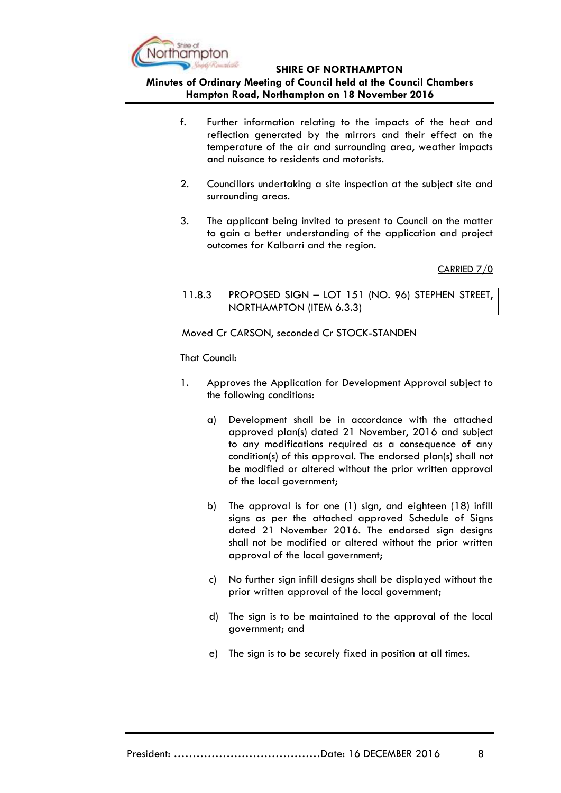

**Minutes of Ordinary Meeting of Council held at the Council Chambers Hampton Road, Northampton on 18 November 2016**

- f. Further information relating to the impacts of the heat and reflection generated by the mirrors and their effect on the temperature of the air and surrounding area, weather impacts and nuisance to residents and motorists.
- 2. Councillors undertaking a site inspection at the subject site and surrounding areas.
- 3. The applicant being invited to present to Council on the matter to gain a better understanding of the application and project outcomes for Kalbarri and the region.

CARRIED 7/0

<span id="page-7-0"></span>11.8.3 PROPOSED SIGN – LOT 151 (NO. 96) STEPHEN STREET, NORTHAMPTON (ITEM 6.3.3)

Moved Cr CARSON, seconded Cr STOCK-STANDEN

That Council:

- 1. Approves the Application for Development Approval subject to the following conditions:
	- a) Development shall be in accordance with the attached approved plan(s) dated 21 November, 2016 and subject to any modifications required as a consequence of any condition(s) of this approval. The endorsed plan(s) shall not be modified or altered without the prior written approval of the local government;
	- b) The approval is for one (1) sign, and eighteen (18) infill signs as per the attached approved Schedule of Signs dated 21 November 2016. The endorsed sign designs shall not be modified or altered without the prior written approval of the local government;
	- c) No further sign infill designs shall be displayed without the prior written approval of the local government;
	- d) The sign is to be maintained to the approval of the local government; and
	- e) The sign is to be securely fixed in position at all times.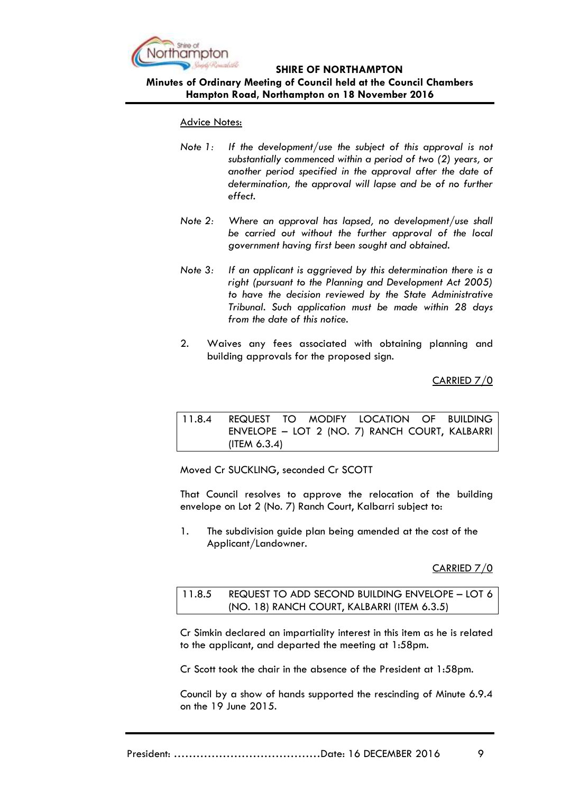

#### **Minutes of Ordinary Meeting of Council held at the Council Chambers Hampton Road, Northampton on 18 November 2016**

#### Advice Notes:

- *Note 1: If the development/use the subject of this approval is not substantially commenced within a period of two (2) years, or another period specified in the approval after the date of determination, the approval will lapse and be of no further effect.*
- *Note 2: Where an approval has lapsed, no development/use shall be carried out without the further approval of the local government having first been sought and obtained.*
- *Note 3: If an applicant is aggrieved by this determination there is a right (pursuant to the Planning and Development Act 2005) to have the decision reviewed by the State Administrative Tribunal. Such application must be made within 28 days from the date of this notice.*
- 2. Waives any fees associated with obtaining planning and building approvals for the proposed sign.

CARRIED 7/0

<span id="page-8-0"></span>11.8.4 REQUEST TO MODIFY LOCATION OF BUILDING ENVELOPE – LOT 2 (NO. 7) RANCH COURT, KALBARRI (ITEM 6.3.4)

Moved Cr SUCKLING, seconded Cr SCOTT

That Council resolves to approve the relocation of the building envelope on Lot 2 (No. 7) Ranch Court, Kalbarri subject to:

1. The subdivision guide plan being amended at the cost of the Applicant/Landowner.

#### CARRIED 7/0

<span id="page-8-1"></span>

| 11.8.5 | REQUEST TO ADD SECOND BUILDING ENVELOPE – LOT 6 |
|--------|-------------------------------------------------|
|        | (NO. 18) RANCH COURT, KALBARRI (ITEM 6.3.5)     |

Cr Simkin declared an impartiality interest in this item as he is related to the applicant, and departed the meeting at 1:58pm.

Cr Scott took the chair in the absence of the President at 1:58pm.

Council by a show of hands supported the rescinding of Minute 6.9.4 on the 19 June 2015.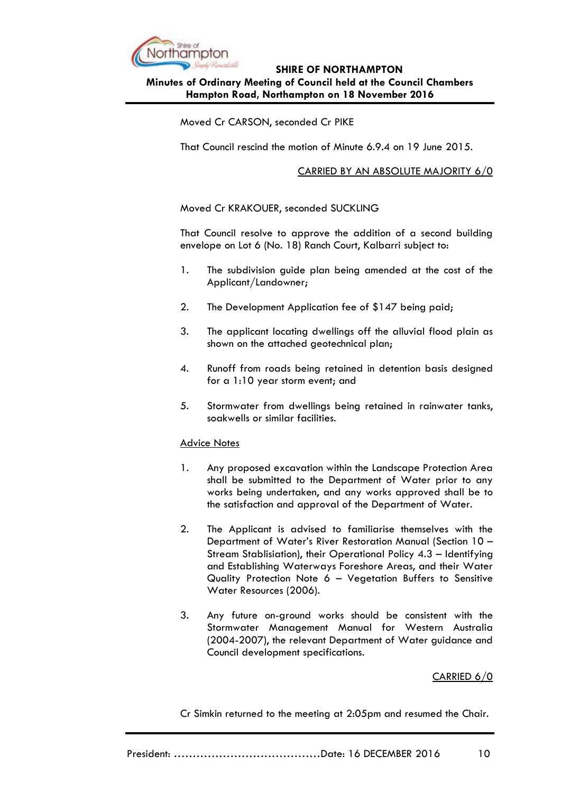

#### **SHIRE OF NORTHAMPTON Minutes of Ordinary Meeting of Council held at the Council Chambers Hampton Road, Northampton on 18 November 2016**

Moved Cr CARSON, seconded Cr PIKE

That Council rescind the motion of Minute 6.9.4 on 19 June 2015.

#### CARRIED BY AN ABSOLUTE MAJORITY 6/0

#### Moved Cr KRAKOUER, seconded SUCKLING

That Council resolve to approve the addition of a second building envelope on Lot 6 (No. 18) Ranch Court, Kalbarri subject to:

- 1. The subdivision guide plan being amended at the cost of the Applicant/Landowner;
- 2. The Development Application fee of \$147 being paid;
- 3. The applicant locating dwellings off the alluvial flood plain as shown on the attached geotechnical plan;
- 4. Runoff from roads being retained in detention basis designed for a 1:10 year storm event; and
- 5. Stormwater from dwellings being retained in rainwater tanks, soakwells or similar facilities.

#### Advice Notes

- 1. Any proposed excavation within the Landscape Protection Area shall be submitted to the Department of Water prior to any works being undertaken, and any works approved shall be to the satisfaction and approval of the Department of Water.
- 2. The Applicant is advised to familiarise themselves with the Department of Water's River Restoration Manual (Section 10 – Stream Stablisiation), their Operational Policy 4.3 – Identifying and Establishing Waterways Foreshore Areas, and their Water Quality Protection Note 6 – Vegetation Buffers to Sensitive Water Resources (2006).
- 3. Any future on-ground works should be consistent with the Stormwater Management Manual for Western Australia (2004-2007), the relevant Department of Water guidance and Council development specifications.

#### CARRIED 6/0

Cr Simkin returned to the meeting at 2:05pm and resumed the Chair.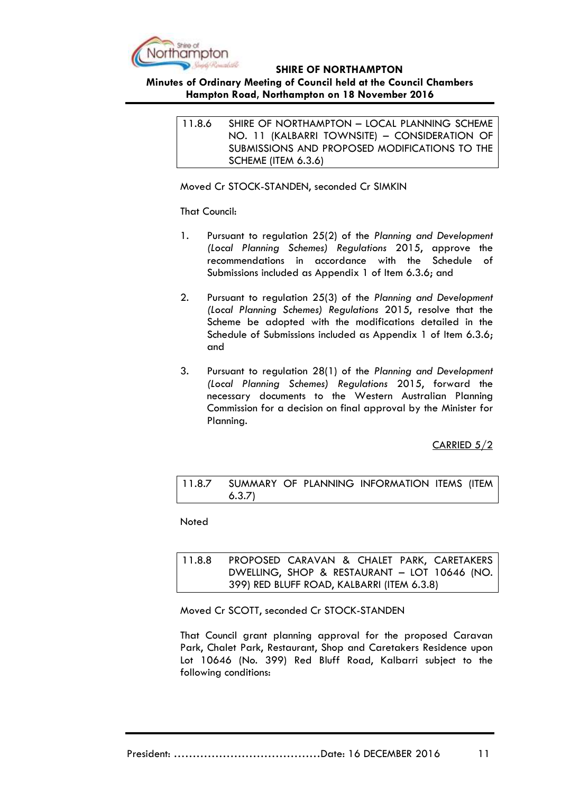

#### <span id="page-10-0"></span>**Minutes of Ordinary Meeting of Council held at the Council Chambers Hampton Road, Northampton on 18 November 2016**

11.8.6 SHIRE OF NORTHAMPTON – LOCAL PLANNING SCHEME NO. 11 (KALBARRI TOWNSITE) – CONSIDERATION OF SUBMISSIONS AND PROPOSED MODIFICATIONS TO THE SCHEME (ITEM 6.3.6)

Moved Cr STOCK-STANDEN, seconded Cr SIMKIN

That Council:

- 1. Pursuant to regulation 25(2) of the *Planning and Development (Local Planning Schemes) Regulations* 2015, approve the recommendations in accordance with the Schedule of Submissions included as Appendix 1 of Item 6.3.6; and
- 2. Pursuant to regulation 25(3) of the *Planning and Development (Local Planning Schemes) Regulations* 2015, resolve that the Scheme be adopted with the modifications detailed in the Schedule of Submissions included as Appendix 1 of Item 6.3.6; and
- 3. Pursuant to regulation 28(1) of the *Planning and Development (Local Planning Schemes) Regulations* 2015, forward the necessary documents to the Western Australian Planning Commission for a decision on final approval by the Minister for Planning.

CARRIED 5/2

<span id="page-10-1"></span>11.8.7 SUMMARY OF PLANNING INFORMATION ITEMS (ITEM 6.3.7)

Noted

#### <span id="page-10-2"></span>11.8.8 PROPOSED CARAVAN & CHALET PARK, CARETAKERS DWELLING, SHOP & RESTAURANT – LOT 10646 (NO. 399) RED BLUFF ROAD, KALBARRI (ITEM 6.3.8)

Moved Cr SCOTT, seconded Cr STOCK-STANDEN

That Council grant planning approval for the proposed Caravan Park, Chalet Park, Restaurant, Shop and Caretakers Residence upon Lot 10646 (No. 399) Red Bluff Road, Kalbarri subject to the following conditions: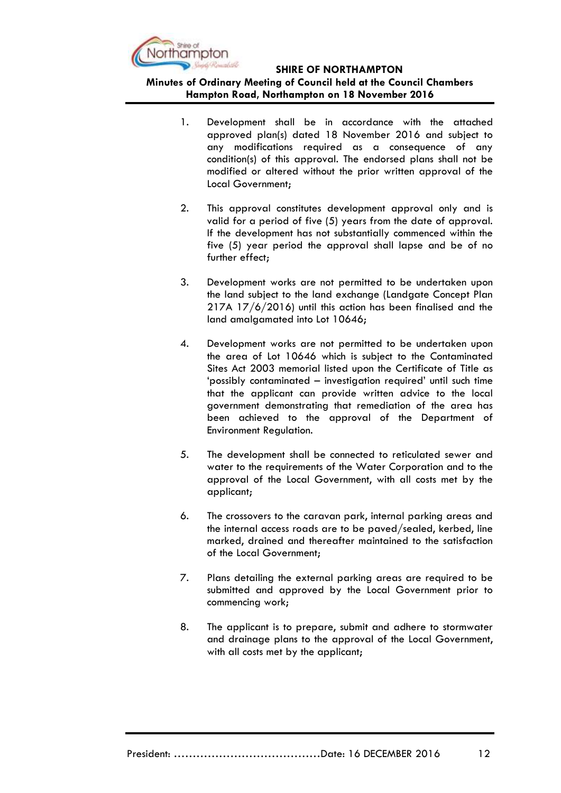

**Minutes of Ordinary Meeting of Council held at the Council Chambers Hampton Road, Northampton on 18 November 2016**

- 1. Development shall be in accordance with the attached approved plan(s) dated 18 November 2016 and subject to any modifications required as a consequence of any condition(s) of this approval. The endorsed plans shall not be modified or altered without the prior written approval of the Local Government;
- 2. This approval constitutes development approval only and is valid for a period of five (5) years from the date of approval. If the development has not substantially commenced within the five (5) year period the approval shall lapse and be of no further effect;
- 3. Development works are not permitted to be undertaken upon the land subject to the land exchange (Landgate Concept Plan 217A 17/6/2016) until this action has been finalised and the land amalgamated into Lot 10646;
- 4. Development works are not permitted to be undertaken upon the area of Lot 10646 which is subject to the Contaminated Sites Act 2003 memorial listed upon the Certificate of Title as 'possibly contaminated – investigation required' until such time that the applicant can provide written advice to the local government demonstrating that remediation of the area has been achieved to the approval of the Department of Environment Regulation.
- 5. The development shall be connected to reticulated sewer and water to the requirements of the Water Corporation and to the approval of the Local Government, with all costs met by the applicant;
- 6. The crossovers to the caravan park, internal parking areas and the internal access roads are to be paved/sealed, kerbed, line marked, drained and thereafter maintained to the satisfaction of the Local Government;
- 7. Plans detailing the external parking areas are required to be submitted and approved by the Local Government prior to commencing work;
- 8. The applicant is to prepare, submit and adhere to stormwater and drainage plans to the approval of the Local Government, with all costs met by the applicant;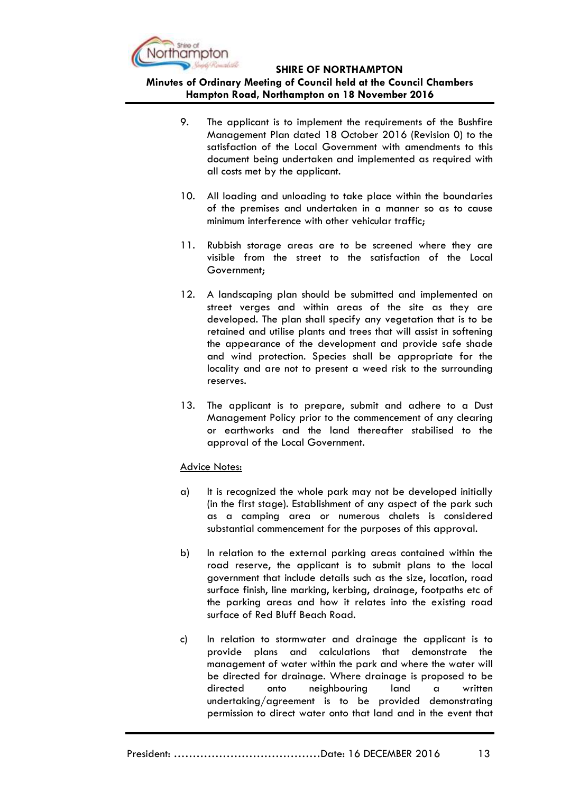

**Minutes of Ordinary Meeting of Council held at the Council Chambers Hampton Road, Northampton on 18 November 2016**

- 9. The applicant is to implement the requirements of the Bushfire Management Plan dated 18 October 2016 (Revision 0) to the satisfaction of the Local Government with amendments to this document being undertaken and implemented as required with all costs met by the applicant.
- 10. All loading and unloading to take place within the boundaries of the premises and undertaken in a manner so as to cause minimum interference with other vehicular traffic;
- 11. Rubbish storage areas are to be screened where they are visible from the street to the satisfaction of the Local Government;
- 12. A landscaping plan should be submitted and implemented on street verges and within areas of the site as they are developed. The plan shall specify any vegetation that is to be retained and utilise plants and trees that will assist in softening the appearance of the development and provide safe shade and wind protection. Species shall be appropriate for the locality and are not to present a weed risk to the surrounding reserves.
- 13. The applicant is to prepare, submit and adhere to a Dust Management Policy prior to the commencement of any clearing or earthworks and the land thereafter stabilised to the approval of the Local Government.

#### **Advice Notes:**

- a) It is recognized the whole park may not be developed initially (in the first stage). Establishment of any aspect of the park such as a camping area or numerous chalets is considered substantial commencement for the purposes of this approval.
- b) In relation to the external parking areas contained within the road reserve, the applicant is to submit plans to the local government that include details such as the size, location, road surface finish, line marking, kerbing, drainage, footpaths etc of the parking areas and how it relates into the existing road surface of Red Bluff Beach Road.
- c) In relation to stormwater and drainage the applicant is to provide plans and calculations that demonstrate the management of water within the park and where the water will be directed for drainage. Where drainage is proposed to be directed onto neighbouring land a written undertaking/agreement is to be provided demonstrating permission to direct water onto that land and in the event that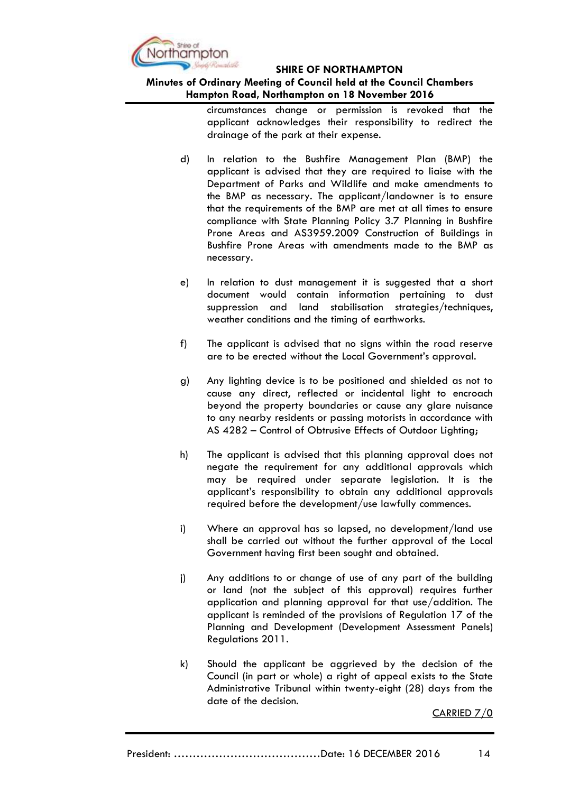

#### **Minutes of Ordinary Meeting of Council held at the Council Chambers Hampton Road, Northampton on 18 November 2016**

circumstances change or permission is revoked that the applicant acknowledges their responsibility to redirect the drainage of the park at their expense.

- d) In relation to the Bushfire Management Plan (BMP) the applicant is advised that they are required to liaise with the Department of Parks and Wildlife and make amendments to the BMP as necessary. The applicant/landowner is to ensure that the requirements of the BMP are met at all times to ensure compliance with State Planning Policy 3.7 Planning in Bushfire Prone Areas and AS3959.2009 Construction of Buildings in Bushfire Prone Areas with amendments made to the BMP as necessary.
- e) In relation to dust management it is suggested that a short document would contain information pertaining to dust suppression and land stabilisation strategies/techniques, weather conditions and the timing of earthworks.
- f) The applicant is advised that no signs within the road reserve are to be erected without the Local Government's approval.
- g) Any lighting device is to be positioned and shielded as not to cause any direct, reflected or incidental light to encroach beyond the property boundaries or cause any glare nuisance to any nearby residents or passing motorists in accordance with AS 4282 – Control of Obtrusive Effects of Outdoor Lighting;
- h) The applicant is advised that this planning approval does not negate the requirement for any additional approvals which may be required under separate legislation. It is the applicant's responsibility to obtain any additional approvals required before the development/use lawfully commences.
- i) Where an approval has so lapsed, no development/land use shall be carried out without the further approval of the Local Government having first been sought and obtained.
- j) Any additions to or change of use of any part of the building or land (not the subject of this approval) requires further application and planning approval for that use/addition. The applicant is reminded of the provisions of Regulation 17 of the Planning and Development (Development Assessment Panels) Regulations 2011.
- k) Should the applicant be aggrieved by the decision of the Council (in part or whole) a right of appeal exists to the State Administrative Tribunal within twenty-eight (28) days from the date of the decision.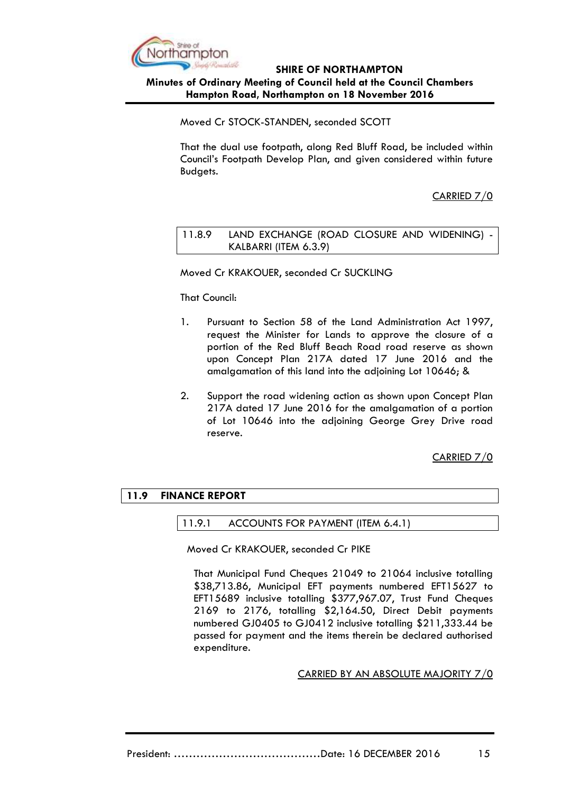

**Minutes of Ordinary Meeting of Council held at the Council Chambers Hampton Road, Northampton on 18 November 2016**

Moved Cr STOCK-STANDEN, seconded SCOTT

That the dual use footpath, along Red Bluff Road, be included within Council's Footpath Develop Plan, and given considered within future Budgets.

#### CARRIED 7/0

#### <span id="page-14-0"></span>11.8.9 LAND EXCHANGE (ROAD CLOSURE AND WIDENING) - KALBARRI (ITEM 6.3.9)

Moved Cr KRAKOUER, seconded Cr SUCKLING

That Council:

- 1. Pursuant to Section 58 of the Land Administration Act 1997, request the Minister for Lands to approve the closure of a portion of the Red Bluff Beach Road road reserve as shown upon Concept Plan 217A dated 17 June 2016 and the amalgamation of this land into the adjoining Lot 10646; &
- 2. Support the road widening action as shown upon Concept Plan 217A dated 17 June 2016 for the amalgamation of a portion of Lot 10646 into the adjoining George Grey Drive road reserve.

CARRIED 7/0

#### <span id="page-14-2"></span><span id="page-14-1"></span>**11.9 FINANCE REPORT**

11.9.1 ACCOUNTS FOR PAYMENT (ITEM 6.4.1)

Moved Cr KRAKOUER, seconded Cr PIKE

That Municipal Fund Cheques 21049 to 21064 inclusive totalling \$38,713.86, Municipal EFT payments numbered EFT15627 to EFT15689 inclusive totalling \$377,967.07, Trust Fund Cheques 2169 to 2176, totalling \$2,164.50, Direct Debit payments numbered GJ0405 to GJ0412 inclusive totalling \$211,333.44 be passed for payment and the items therein be declared authorised expenditure.

#### CARRIED BY AN ABSOLUTE MAJORITY 7/0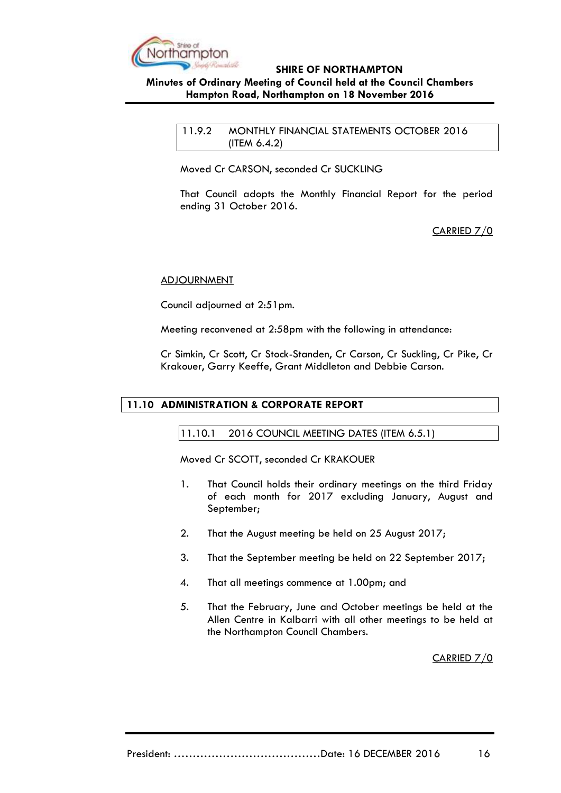

#### <span id="page-15-0"></span>**Minutes of Ordinary Meeting of Council held at the Council Chambers Hampton Road, Northampton on 18 November 2016**

11.9.2 MONTHLY FINANCIAL STATEMENTS OCTOBER 2016 (ITEM 6.4.2)

Moved Cr CARSON, seconded Cr SUCKLING

That Council adopts the Monthly Financial Report for the period ending 31 October 2016.

CARRIED 7/0

#### ADJOURNMENT

Council adjourned at 2:51pm.

Meeting reconvened at 2:58pm with the following in attendance:

Cr Simkin, Cr Scott, Cr Stock-Standen, Cr Carson, Cr Suckling, Cr Pike, Cr Krakouer, Garry Keeffe, Grant Middleton and Debbie Carson.

#### <span id="page-15-2"></span><span id="page-15-1"></span>**11.10 ADMINISTRATION & CORPORATE REPORT**

#### 11.10.1 2016 COUNCIL MEETING DATES (ITEM 6.5.1)

Moved Cr SCOTT, seconded Cr KRAKOUER

- 1. That Council holds their ordinary meetings on the third Friday of each month for 2017 excluding January, August and September;
- 2. That the August meeting be held on 25 August 2017;
- 3. That the September meeting be held on 22 September 2017;
- 4. That all meetings commence at 1.00pm; and
- 5. That the February, June and October meetings be held at the Allen Centre in Kalbarri with all other meetings to be held at the Northampton Council Chambers.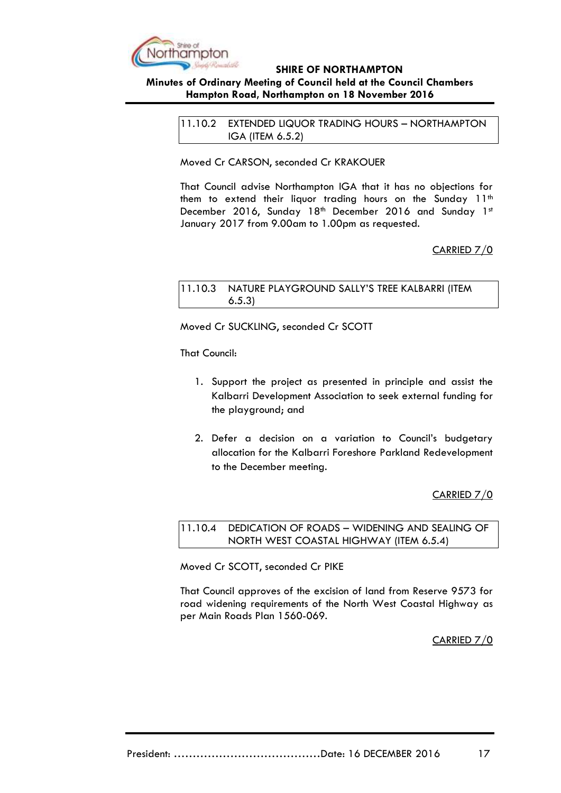

#### <span id="page-16-0"></span>**Minutes of Ordinary Meeting of Council held at the Council Chambers Hampton Road, Northampton on 18 November 2016**

11.10.2 EXTENDED LIQUOR TRADING HOURS – NORTHAMPTON IGA (ITEM 6.5.2)

Moved Cr CARSON, seconded Cr KRAKOUER

That Council advise Northampton IGA that it has no objections for them to extend their liquor trading hours on the Sunday  $11<sup>th</sup>$ December 2016, Sunday 18<sup>th</sup> December 2016 and Sunday 1st January 2017 from 9.00am to 1.00pm as requested.

CARRIED 7/0

<span id="page-16-1"></span>11.10.3 NATURE PLAYGROUND SALLY'S TREE KALBARRI (ITEM 6.5.3)

Moved Cr SUCKLING, seconded Cr SCOTT

That Council:

- 1. Support the project as presented in principle and assist the Kalbarri Development Association to seek external funding for the playground; and
- 2. Defer a decision on a variation to Council's budgetary allocation for the Kalbarri Foreshore Parkland Redevelopment to the December meeting.

CARRIED 7/0

<span id="page-16-2"></span>11.10.4 DEDICATION OF ROADS – WIDENING AND SEALING OF NORTH WEST COASTAL HIGHWAY (ITEM 6.5.4)

Moved Cr SCOTT, seconded Cr PIKE

That Council approves of the excision of land from Reserve 9573 for road widening requirements of the North West Coastal Highway as per Main Roads Plan 1560-069*.*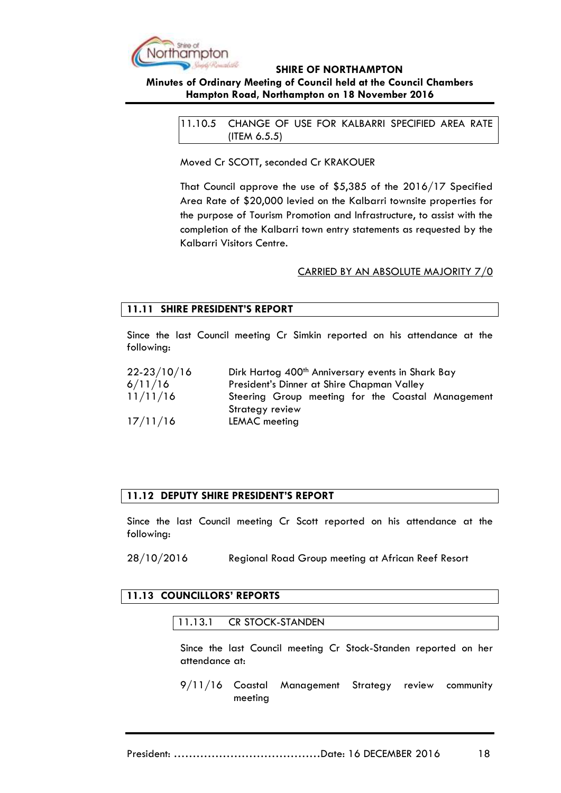

#### <span id="page-17-0"></span>**Minutes of Ordinary Meeting of Council held at the Council Chambers Hampton Road, Northampton on 18 November 2016**

11.10.5 CHANGE OF USE FOR KALBARRI SPECIFIED AREA RATE (ITEM 6.5.5)

Moved Cr SCOTT, seconded Cr KRAKOUER

That Council approve the use of \$5,385 of the 2016/17 Specified Area Rate of \$20,000 levied on the Kalbarri townsite properties for the purpose of Tourism Promotion and Infrastructure, to assist with the completion of the Kalbarri town entry statements as requested by the Kalbarri Visitors Centre.

#### CARRIED BY AN ABSOLUTE MAJORITY 7/0

#### <span id="page-17-1"></span>**11.11 SHIRE PRESIDENT'S REPORT**

Since the last Council meeting Cr Simkin reported on his attendance at the following:

| $22 - 23/10/16$ | Dirk Hartog 400 <sup>th</sup> Anniversary events in Shark Bay |
|-----------------|---------------------------------------------------------------|
| 6/11/16         | President's Dinner at Shire Chapman Valley                    |
| 11/11/16        | Steering Group meeting for the Coastal Management             |
|                 | Strategy review                                               |
| 17/11/16        | LEMAC meeting                                                 |

#### <span id="page-17-2"></span>**11.12 DEPUTY SHIRE PRESIDENT'S REPORT**

Since the last Council meeting Cr Scott reported on his attendance at the following:

28/10/2016 Regional Road Group meeting at African Reef Resort

#### <span id="page-17-4"></span><span id="page-17-3"></span>**11.13 COUNCILLORS' REPORTS**

#### 11.13.1 CR STOCK-STANDEN

Since the last Council meeting Cr Stock-Standen reported on her attendance at:

9/11/16 Coastal Management Strategy review community meeting